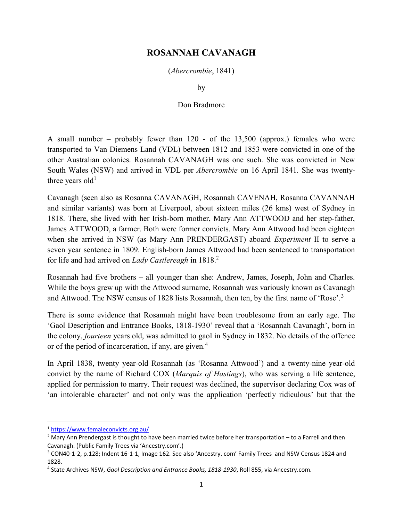## ROSANNAH CAVANAGH

(Abercrombie, 1841)

by

## Don Bradmore

A small number – probably fewer than 120 - of the 13,500 (approx.) females who were transported to Van Diemens Land (VDL) between 1812 and 1853 were convicted in one of the other Australian colonies. Rosannah CAVANAGH was one such. She was convicted in New South Wales (NSW) and arrived in VDL per Abercrombie on 16 April 1841. She was twentythree years old<sup>1</sup>

Cavanagh (seen also as Rosanna CAVANAGH, Rosannah CAVENAH, Rosanna CAVANNAH and similar variants) was born at Liverpool, about sixteen miles (26 kms) west of Sydney in 1818. There, she lived with her Irish-born mother, Mary Ann ATTWOOD and her step-father, James ATTWOOD, a farmer. Both were former convicts. Mary Ann Attwood had been eighteen when she arrived in NSW (as Mary Ann PRENDERGAST) aboard Experiment II to serve a seven year sentence in 1809. English-born James Attwood had been sentenced to transportation for life and had arrived on Lady Castlereagh in  $1818<sup>2</sup>$ 

Rosannah had five brothers – all younger than she: Andrew, James, Joseph, John and Charles. While the boys grew up with the Attwood surname, Rosannah was variously known as Cavanagh and Attwood. The NSW census of 1828 lists Rosannah, then ten, by the first name of 'Rose'.<sup>3</sup>

There is some evidence that Rosannah might have been troublesome from an early age. The 'Gaol Description and Entrance Books, 1818-1930' reveal that a 'Rosannah Cavanagh', born in the colony, fourteen years old, was admitted to gaol in Sydney in 1832. No details of the offence or of the period of incarceration, if any, are given.<sup>4</sup>

In April 1838, twenty year-old Rosannah (as 'Rosanna Attwood') and a twenty-nine year-old convict by the name of Richard COX (Marquis of Hastings), who was serving a life sentence, applied for permission to marry. Their request was declined, the supervisor declaring Cox was of 'an intolerable character' and not only was the application 'perfectly ridiculous' but that the

<sup>1</sup> https://www.femaleconvicts.org.au/

 $^2$  Mary Ann Prendergast is thought to have been married twice before her transportation – to a Farrell and then Cavanagh. (Public Family Trees via 'Ancestry.com'.)

<sup>&</sup>lt;sup>3</sup> CON40-1-2, p.128; Indent 16-1-1, Image 162. See also 'Ancestry. com' Family Trees and NSW Census 1824 and 1828.

<sup>&</sup>lt;sup>4</sup> State Archives NSW, Gaol Description and Entrance Books, 1818-1930, Roll 855, via Ancestry.com.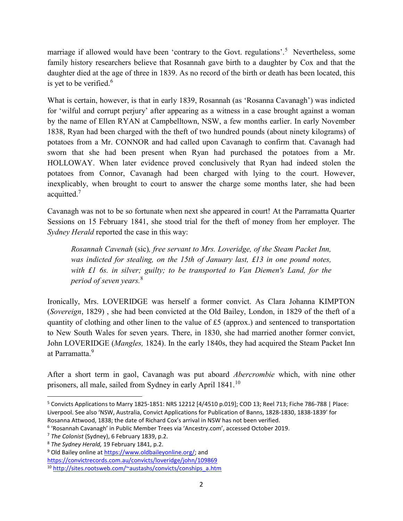marriage if allowed would have been 'contrary to the Govt. regulations'.<sup>5</sup> Nevertheless, some family history researchers believe that Rosannah gave birth to a daughter by Cox and that the daughter died at the age of three in 1839. As no record of the birth or death has been located, this is yet to be verified.<sup>6</sup>

What is certain, however, is that in early 1839, Rosannah (as 'Rosanna Cavanagh') was indicted for 'wilful and corrupt perjury' after appearing as a witness in a case brought against a woman by the name of Ellen RYAN at Campbelltown, NSW, a few months earlier. In early November 1838, Ryan had been charged with the theft of two hundred pounds (about ninety kilograms) of potatoes from a Mr. CONNOR and had called upon Cavanagh to confirm that. Cavanagh had sworn that she had been present when Ryan had purchased the potatoes from a Mr. HOLLOWAY. When later evidence proved conclusively that Ryan had indeed stolen the potatoes from Connor, Cavanagh had been charged with lying to the court. However, inexplicably, when brought to court to answer the charge some months later, she had been acquitted.<sup>7</sup>

Cavanagh was not to be so fortunate when next she appeared in court! At the Parramatta Quarter Sessions on 15 February 1841, she stood trial for the theft of money from her employer. The Sydney Herald reported the case in this way:

Rosannah Cavenah (sic), free servant to Mrs. Loveridge, of the Steam Packet Inn, was indicted for stealing, on the 15th of January last, £13 in one pound notes, with £1 6s. in silver; guilty; to be transported to Van Diemen's Land, for the period of seven years.<sup>8</sup>

Ironically, Mrs. LOVERIDGE was herself a former convict. As Clara Johanna KIMPTON (Sovereign, 1829) , she had been convicted at the Old Bailey, London, in 1829 of the theft of a quantity of clothing and other linen to the value of £5 (approx.) and sentenced to transportation to New South Wales for seven years. There, in 1830, she had married another former convict, John LOVERIDGE (*Mangles*, 1824). In the early 1840s, they had acquired the Steam Packet Inn at Parramatta.<sup>9</sup>

After a short term in gaol, Cavanagh was put aboard *Abercrombie* which, with nine other prisoners, all male, sailed from Sydney in early April 1841.<sup>10</sup>

 $\overline{a}$ 

<sup>&</sup>lt;sup>5</sup> Convicts Applications to Marry 1825-1851: NRS 12212 [4/4510 p.019]; COD 13; Reel 713; Fiche 786-788 | Place: Liverpool. See also 'NSW, Australia, Convict Applications for Publication of Banns, 1828-1830, 1838-1839' for Rosanna Attwood, 1838; the date of Richard Cox's arrival in NSW has not been verified.

<sup>&</sup>lt;sup>6</sup> 'Rosannah Cavanagh' in Public Member Trees via 'Ancestry.com', accessed October 2019.

 $<sup>7</sup>$  The Colonist (Sydney), 6 February 1839, p.2.</sup>

<sup>8</sup> The Sydney Herald, 19 February 1841, p.2.

<sup>&</sup>lt;sup>9</sup> Old Bailey online at https://www.oldbaileyonline.org/; and

https://convictrecords.com.au/convicts/loveridge/john/109869

<sup>10</sup> http://sites.rootsweb.com/~austashs/convicts/conships\_a.htm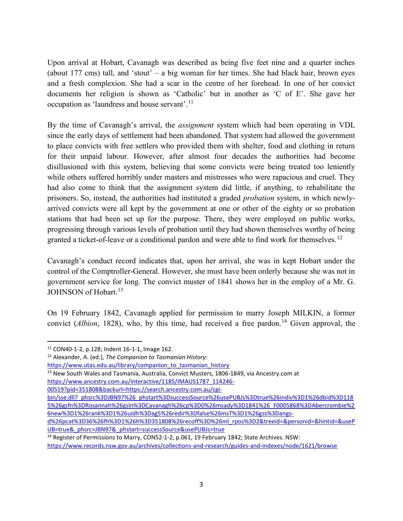Upon arrival at Hobart, Cavanagh was described as being five feet nine and a quarter inches (about 177 cms) tall, and 'stout' – a big woman for her times. She had black hair, brown eyes and a fresh complexion. She had a scar in the centre of her forehead. In one of her convict documents her religion is shown as 'Catholic' but in another as 'C of E'. She gave her occupation as 'laundress and house servant'.<sup>11</sup>

By the time of Cavanagh's arrival, the *assignment* system which had been operating in VDL since the early days of settlement had been abandoned. That system had allowed the government to place convicts with free settlers who provided them with shelter, food and clothing in return for their unpaid labour. However, after almost four decades the authorities had become disillusioned with this system, believing that some convicts were being treated too leniently while others suffered horribly under masters and mistresses who were rapacious and cruel. They had also come to think that the assignment system did little, if anything, to rehabilitate the prisoners. So, instead, the authorities had instituted a graded probation system, in which newlyarrived convicts were all kept by the government at one or other of the eighty or so probation stations that had been set up for the purpose. There, they were employed on public works, progressing through various levels of probation until they had shown themselves worthy of being granted a ticket-of-leave or a conditional pardon and were able to find work for themselves.<sup>12</sup>

Cavanagh's conduct record indicates that, upon her arrival, she was in kept Hobart under the control of the Comptroller-General. However, she must have been orderly because she was not in government service for long. The convict muster of 1841 shows her in the employ of a Mr. G. JOHNSON of Hobart.<sup>13</sup>

On 19 February 1842, Cavanagh applied for permission to marry Joseph MILKIN, a former convict (Albion, 1828), who, by this time, had received a free pardon.<sup>14</sup> Given approval, the

 $\overline{a}$ 

<sup>12</sup> Alexander, A. (ed.), The Companion to Tasmanian History:

https://www.utas.edu.au/library/companion\_to\_tasmanian\_history

<sup>13</sup> New South Wales and Tasmania, Australia, Convict Musters, 1806-1849, via Ancestry.com at https://www.ancestry.com.au/interactive/1185/IMAUS1787\_114246-

00519?pid=351808&backurl=https://search.ancestry.com.au/cgi-

bin/sse.dll?\_phsrc%3DJBN97%26\_phstart%3DsuccessSource%26usePUBJs%3Dtrue%26indiv%3D1%26dbid%3D118 5%26gsfn%3DRosannah%26gsln%3DCavanagh%26cp%3D0%26msady%3D1841%26\_F0005868%3DAbercrombie%2 6new%3D1%26rank%3D1%26uidh%3Dag5%26redir%3Dfalse%26msT%3D1%26gss%3Dangs-

<sup>14</sup> Register of Permissions to Marry, CON52-1-2, p.061, 19 February 1842; State Archives. NSW:

<sup>11</sup> CON40-1-2, p.128; Indent 16-1-1, Image 162.

d%26pcat%3D36%26fh%3D1%26h%3D351808%26recoff%3D%26ml\_rpos%3D2&treeid=&personid=&hintid=&useP UB=true&\_phsrc=JBN97&\_phstart=successSource&usePUBJs=true

https://www.records.nsw.gov.au/archives/collections-and-research/guides-and-indexes/node/1621/browse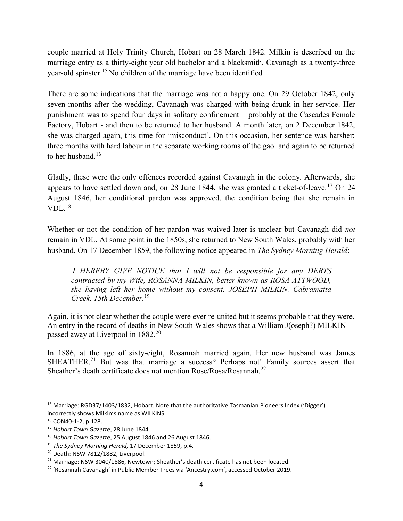couple married at Holy Trinity Church, Hobart on 28 March 1842. Milkin is described on the marriage entry as a thirty-eight year old bachelor and a blacksmith, Cavanagh as a twenty-three year-old spinster.<sup>15</sup> No children of the marriage have been identified

There are some indications that the marriage was not a happy one. On 29 October 1842, only seven months after the wedding, Cavanagh was charged with being drunk in her service. Her punishment was to spend four days in solitary confinement – probably at the Cascades Female Factory, Hobart - and then to be returned to her husband. A month later, on 2 December 1842, she was charged again, this time for 'misconduct'. On this occasion, her sentence was harsher: three months with hard labour in the separate working rooms of the gaol and again to be returned to her husband.<sup>16</sup>

Gladly, these were the only offences recorded against Cavanagh in the colony. Afterwards, she appears to have settled down and, on 28 June 1844, she was granted a ticket-of-leave.<sup>17</sup> On 24 August 1846, her conditional pardon was approved, the condition being that she remain in  $VDL<sup>18</sup>$ 

Whether or not the condition of her pardon was waived later is unclear but Cavanagh did not remain in VDL. At some point in the 1850s, she returned to New South Wales, probably with her husband. On 17 December 1859, the following notice appeared in The Sydney Morning Herald:

I HEREBY GIVE NOTICE that I will not be responsible for any DEBTS contracted by my Wife, ROSANNA MILKIN, better known as ROSA ATTWOOD, she having left her home without my consent. JOSEPH MILKIN. Cabramatta Creek, 15th December.<sup>19</sup>

Again, it is not clear whether the couple were ever re-united but it seems probable that they were. An entry in the record of deaths in New South Wales shows that a William J(oseph?) MILKIN passed away at Liverpool in 1882.<sup>20</sup>

In 1886, at the age of sixty-eight, Rosannah married again. Her new husband was James SHEATHER.<sup>21</sup> But was that marriage a success? Perhaps not! Family sources assert that Sheather's death certificate does not mention  $Rose/Rosa/Rosannah.<sup>22</sup>$ 

 $\overline{a}$ 

<sup>&</sup>lt;sup>15</sup> Marriage: RGD37/1403/1832, Hobart. Note that the authoritative Tasmanian Pioneers Index ('Digger') incorrectly shows Milkin's name as WILKINS.

<sup>16</sup> CON40-1-2, p.128.

<sup>&</sup>lt;sup>17</sup> Hobart Town Gazette, 28 June 1844.

<sup>&</sup>lt;sup>18</sup> Hobart Town Gazette, 25 August 1846 and 26 August 1846.

<sup>&</sup>lt;sup>19</sup> The Sydney Morning Herald, 17 December 1859, p.4.

<sup>20</sup> Death: NSW 7812/1882, Liverpool.

<sup>&</sup>lt;sup>21</sup> Marriage: NSW 3040/1886, Newtown; Sheather's death certificate has not been located.

<sup>&</sup>lt;sup>22</sup> 'Rosannah Cavanagh' in Public Member Trees via 'Ancestry.com', accessed October 2019.